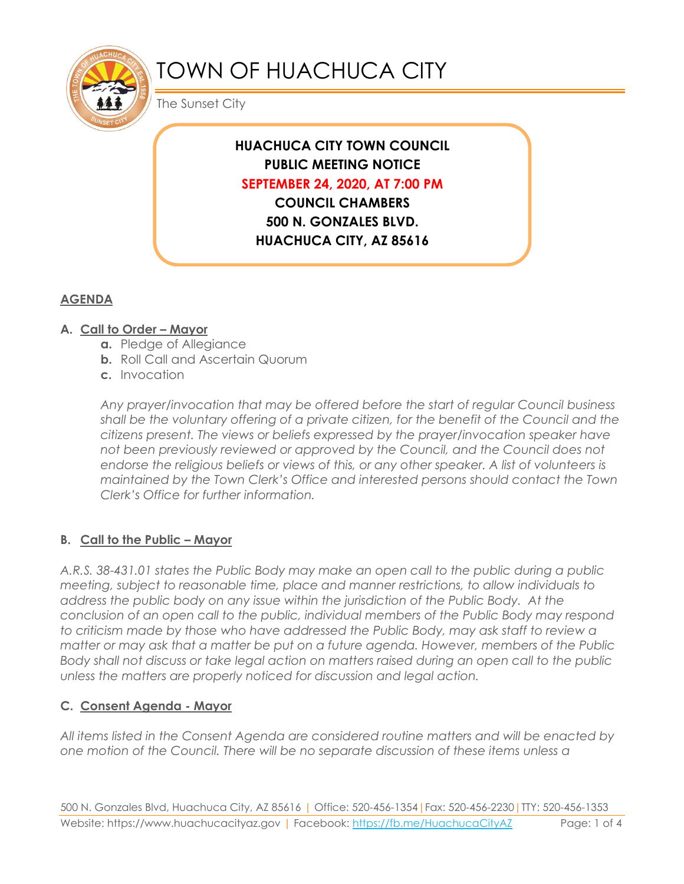

# TOWN OF HUACHUCA CITY

The Sunset City

# **HUACHUCA CITY TOWN COUNCIL PUBLIC MEETING NOTICE SEPTEMBER 24, 2020, AT 7:00 PM**

**COUNCIL CHAMBERS 500 N. GONZALES BLVD. HUACHUCA CITY, AZ 85616**

## **AGENDA**

#### **A. Call to Order – Mayor**

- **a.** Pledge of Allegiance
- **b.** Roll Call and Ascertain Quorum
- **c.** Invocation

*Any prayer/invocation that may be offered before the start of regular Council business shall be the voluntary offering of a private citizen, for the benefit of the Council and the citizens present. The views or beliefs expressed by the prayer/invocation speaker have not been previously reviewed or approved by the Council, and the Council does not endorse the religious beliefs or views of this, or any other speaker. A list of volunteers is maintained by the Town Clerk's Office and interested persons should contact the Town Clerk's Office for further information.*

#### **B. Call to the Public – Mayor**

*A.R.S. 38-431.01 states the Public Body may make an open call to the public during a public meeting, subject to reasonable time, place and manner restrictions, to allow individuals to address the public body on any issue within the jurisdiction of the Public Body. At the conclusion of an open call to the public, individual members of the Public Body may respond to criticism made by those who have addressed the Public Body, may ask staff to review a matter or may ask that a matter be put on a future agenda. However, members of the Public Body shall not discuss or take legal action on matters raised during an open call to the public unless the matters are properly noticed for discussion and legal action.*

#### **C. Consent Agenda - Mayor**

*All items listed in the Consent Agenda are considered routine matters and will be enacted by one motion of the Council. There will be no separate discussion of these items unless a*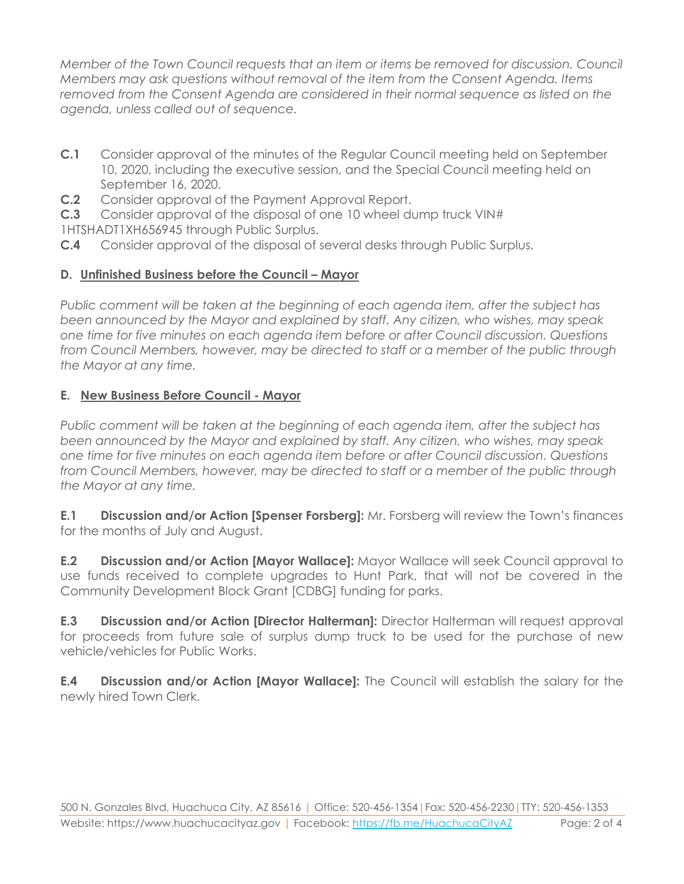*Member of the Town Council requests that an item or items be removed for discussion. Council Members may ask questions without removal of the item from the Consent Agenda. Items removed from the Consent Agenda are considered in their normal sequence as listed on the agenda, unless called out of sequence.*

- **C.1** Consider approval of the minutes of the Regular Council meeting held on September 10, 2020, including the executive session, and the Special Council meeting held on September 16, 2020.
- **C.2** Consider approval of the Payment Approval Report.

**C.3** Consider approval of the disposal of one 10 wheel dump truck VIN#

1HTSHADT1XH656945 through Public Surplus.

**C.4** Consider approval of the disposal of several desks through Public Surplus.

### **D. Unfinished Business before the Council – Mayor**

*Public comment will be taken at the beginning of each agenda item, after the subject has been announced by the Mayor and explained by staff. Any citizen, who wishes, may speak one time for five minutes on each agenda item before or after Council discussion. Questions from Council Members, however, may be directed to staff or a member of the public through the Mayor at any time.*

#### **E. New Business Before Council - Mayor**

*Public comment will be taken at the beginning of each agenda item, after the subject has been announced by the Mayor and explained by staff. Any citizen, who wishes, may speak one time for five minutes on each agenda item before or after Council discussion. Questions from Council Members, however, may be directed to staff or a member of the public through the Mayor at any time.* 

**E.1 Discussion and/or Action [Spenser Forsberg]:** Mr. Forsberg will review the Town's finances for the months of July and August.

**E.2 Discussion and/or Action [Mayor Wallace]:** Mayor Wallace will seek Council approval to use funds received to complete upgrades to Hunt Park, that will not be covered in the Community Development Block Grant [CDBG] funding for parks.

**E.3 Discussion and/or Action [Director Halterman]:** Director Halterman will request approval for proceeds from future sale of surplus dump truck to be used for the purchase of new vehicle/vehicles for Public Works.

**E.4 Discussion and/or Action [Mayor Wallace]:** The Council will establish the salary for the newly hired Town Clerk.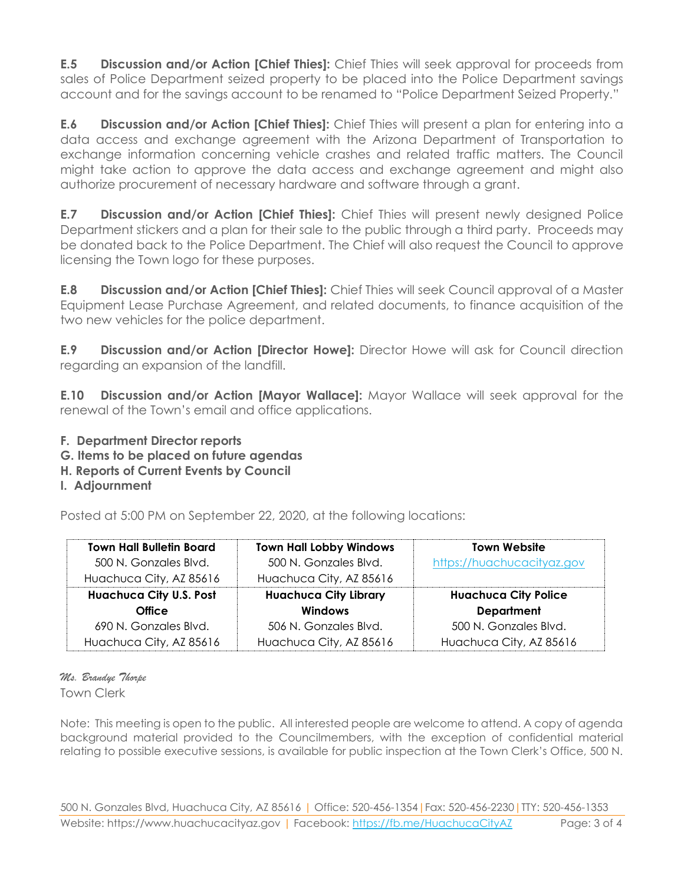**E.5 Discussion and/or Action [Chief Thies]:** Chief Thies will seek approval for proceeds from sales of Police Department seized property to be placed into the Police Department savings account and for the savings account to be renamed to "Police Department Seized Property."

**E.6 Discussion and/or Action [Chief Thies]:** Chief Thies will present a plan for entering into a data access and exchange agreement with the Arizona Department of Transportation to exchange information concerning vehicle crashes and related traffic matters. The Council might take action to approve the data access and exchange agreement and might also authorize procurement of necessary hardware and software through a grant.

**E.7 Discussion and/or Action [Chief Thies]:** Chief Thies will present newly designed Police Department stickers and a plan for their sale to the public through a third party. Proceeds may be donated back to the Police Department. The Chief will also request the Council to approve licensing the Town logo for these purposes.

**E.8 Discussion and/or Action [Chief Thies]:** Chief Thies will seek Council approval of a Master Equipment Lease Purchase Agreement, and related documents, to finance acquisition of the two new vehicles for the police department.

**E.9 Discussion and/or Action [Director Howe]:** Director Howe will ask for Council direction regarding an expansion of the landfill.

**E.10 Discussion and/or Action [Mayor Wallace]:** Mayor Wallace will seek approval for the renewal of the Town's email and office applications.

- **F. Department Director reports**
- **G. Items to be placed on future agendas**
- **H. Reports of Current Events by Council**
- **I. Adjournment**

Posted at 5:00 PM on September 22, 2020, at the following locations:

| <b>Town Hall Bulletin Board</b><br>500 N. Gonzales Blvd.<br>Huachuca City, AZ 85616 | <b>Town Hall Lobby Windows</b><br>500 N. Gonzales Blvd.<br>Huachuca City, AZ 85616 | <b>Town Website</b><br>https://huachucacityaz.gov |
|-------------------------------------------------------------------------------------|------------------------------------------------------------------------------------|---------------------------------------------------|
| <b>Huachuca City U.S. Post</b>                                                      | <b>Huachuca City Library</b>                                                       | <b>Huachuca City Police</b>                       |
| <b>Office</b>                                                                       | <b>Windows</b>                                                                     | <b>Department</b>                                 |
| 690 N. Gonzales Blvd.                                                               | 506 N. Gonzales Blvd.                                                              | 500 N. Gonzales Blvd.                             |
| Huachuca City, AZ 85616                                                             | Huachuca City, AZ 85616                                                            | Huachuca City, AZ 85616                           |

*Ms. Brandye Thorpe*

Town Clerk

Note: This meeting is open to the public. All interested people are welcome to attend. A copy of agenda background material provided to the Councilmembers, with the exception of confidential material relating to possible executive sessions, is available for public inspection at the Town Clerk's Office, 500 N.

500 N. Gonzales Blvd, Huachuca City, AZ 85616 | Office: 520-456-1354|Fax: 520-456-2230|TTY: 520-456-1353 Website: https://www.huachucacityaz.gov | Facebook:<https://fb.me/HuachucaCityAZ> Page: 3 of 4